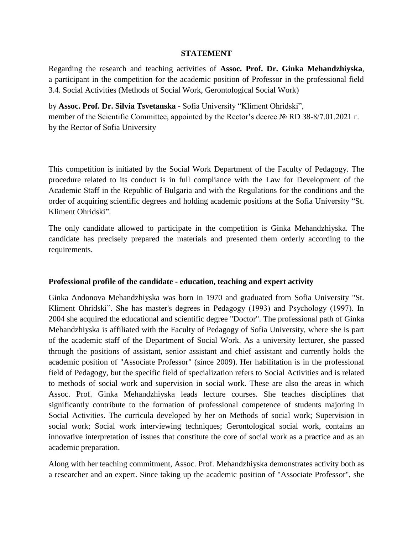#### **STATEMENT**

Regarding the research and teaching activities of **Assoc. Prof. Dr. Ginka Mehandzhiyska**, a participant in the competition for the academic position of Professor in the professional field 3.4. Social Activities (Methods of Social Work, Gerontological Social Work)

by **Assoc. Prof. Dr. Silvia Tsvetanska** - Sofia University "Kliment Ohridski", member of the Scientific Committee, appointed by the Rector's decree № RD 38-8/7.01.2021 г. by the Rector of Sofia University

This competition is initiated by the Social Work Department of the Faculty of Pedagogy. The procedure related to its conduct is in full compliance with the Law for Development of the Academic Staff in the Republic of Bulgaria and with the Regulations for the conditions and the order of acquiring scientific degrees and holding academic positions at the Sofia University "St. Kliment Ohridski".

The only candidate allowed to participate in the competition is Ginka Mehandzhiyska. The candidate has precisely prepared the materials and presented them orderly according to the requirements.

## **Professional profile of the candidate - education, teaching and expert activity**

Ginka Andonova Mehandzhiyska was born in 1970 and graduated from Sofia University "St. Kliment Ohridski". She has master's degrees in Pedagogy (1993) and Psychology (1997). In 2004 she acquired the educational and scientific degree "Doctor". The professional path of Ginka Mehandzhiyska is affiliated with the Faculty of Pedagogy of Sofia University, where she is part of the academic staff of the Department of Social Work. As a university lecturer, she passed through the positions of assistant, senior assistant and chief assistant and currently holds the academic position of "Associate Professor" (since 2009). Her habilitation is in the professional field of Pedagogy, but the specific field of specialization refers to Social Activities and is related to methods of social work and supervision in social work. These are also the areas in which Assoc. Prof. Ginka Mehandzhiyska leads lecture courses. She teaches disciplines that significantly contribute to the formation of professional competence of students majoring in Social Activities. The curricula developed by her on Methods of social work; Supervision in social work; Social work interviewing techniques; Gerontological social work, contains an innovative interpretation of issues that constitute the core of social work as a practice and as an academic preparation.

Along with her teaching commitment, Assoc. Prof. Mehandzhiyska demonstrates activity both as a researcher and an expert. Since taking up the academic position of "Associate Professor", she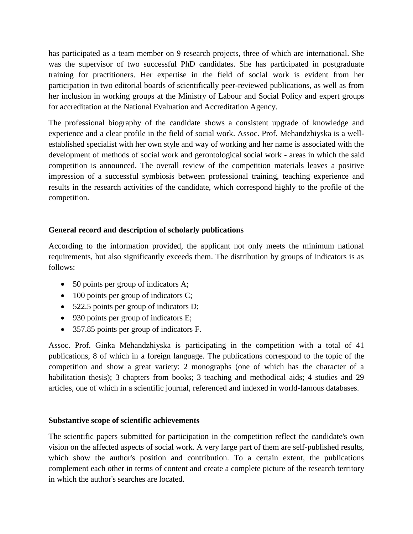has participated as a team member on 9 research projects, three of which are international. She was the supervisor of two successful PhD candidates. She has participated in postgraduate training for practitioners. Her expertise in the field of social work is evident from her participation in two editorial boards of scientifically peer-reviewed publications, as well as from her inclusion in working groups at the Ministry of Labour and Social Policy and expert groups for accreditation at the National Evaluation and Accreditation Agency.

The professional biography of the candidate shows a consistent upgrade of knowledge and experience and a clear profile in the field of social work. Assoc. Prof. Mehandzhiyska is a wellestablished specialist with her own style and way of working and her name is associated with the development of methods of social work and gerontological social work - areas in which the said competition is announced. The overall review of the competition materials leaves a positive impression of a successful symbiosis between professional training, teaching experience and results in the research activities of the candidate, which correspond highly to the profile of the competition.

# **General record and description of scholarly publications**

According to the information provided, the applicant not only meets the minimum national requirements, but also significantly exceeds them. The distribution by groups of indicators is as follows:

- 50 points per group of indicators A;
- 100 points per group of indicators C;
- 522.5 points per group of indicators D;
- 930 points per group of indicators E;
- 357.85 points per group of indicators F.

Assoc. Prof. Ginka Mehandzhiyska is participating in the competition with a total of 41 publications, 8 of which in a foreign language. The publications correspond to the topic of the competition and show a great variety: 2 monographs (one of which has the character of a habilitation thesis); 3 chapters from books; 3 teaching and methodical aids; 4 studies and 29 articles, one of which in a scientific journal, referenced and indexed in world-famous databases.

## **Substantive scope of scientific achievements**

The scientific papers submitted for participation in the competition reflect the candidate's own vision on the affected aspects of social work. A very large part of them are self-published results, which show the author's position and contribution. To a certain extent, the publications complement each other in terms of content and create a complete picture of the research territory in which the author's searches are located.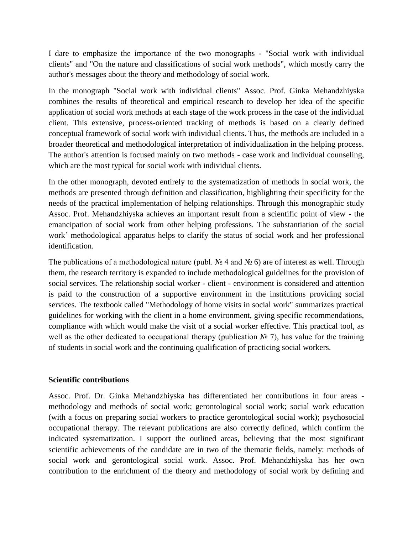I dare to emphasize the importance of the two monographs - "Social work with individual clients" and "On the nature and classifications of social work methods", which mostly carry the author's messages about the theory and methodology of social work.

In the monograph "Social work with individual clients" Assoc. Prof. Ginka Mehandzhiyska combines the results of theoretical and empirical research to develop her idea of the specific application of social work methods at each stage of the work process in the case of the individual client. This extensive, process-oriented tracking of methods is based on a clearly defined conceptual framework of social work with individual clients. Thus, the methods are included in a broader theoretical and methodological interpretation of individualization in the helping process. The author's attention is focused mainly on two methods - case work and individual counseling, which are the most typical for social work with individual clients.

In the other monograph, devoted entirely to the systematization of methods in social work, the methods are presented through definition and classification, highlighting their specificity for the needs of the practical implementation of helping relationships. Through this monographic study Assoc. Prof. Mehandzhiyska achieves an important result from a scientific point of view - the emancipation of social work from other helping professions. The substantiation of the social work' methodological apparatus helps to clarify the status of social work and her professional identification.

The publications of a methodological nature (publ.  $\mathcal{N} \subseteq 4$  and  $\mathcal{N} \subseteq 6$ ) are of interest as well. Through them, the research territory is expanded to include methodological guidelines for the provision of social services. The relationship social worker - client - environment is considered and attention is paid to the construction of a supportive environment in the institutions providing social services. The textbook called "Methodology of home visits in social work" summarizes practical guidelines for working with the client in a home environment, giving specific recommendations, compliance with which would make the visit of a social worker effective. This practical tool, as well as the other dedicated to occupational therapy (publication № 7), has value for the training of students in social work and the continuing qualification of practicing social workers.

#### **Scientific contributions**

Assoc. Prof. Dr. Ginka Mehandzhiyska has differentiated her contributions in four areas methodology and methods of social work; gerontological social work; social work education (with a focus on preparing social workers to practice gerontological social work); psychosocial occupational therapy. The relevant publications are also correctly defined, which confirm the indicated systematization. I support the outlined areas, believing that the most significant scientific achievements of the candidate are in two of the thematic fields, namely: methods of social work and gerontological social work. Assoc. Prof. Mehandzhiyska has her own contribution to the enrichment of the theory and methodology of social work by defining and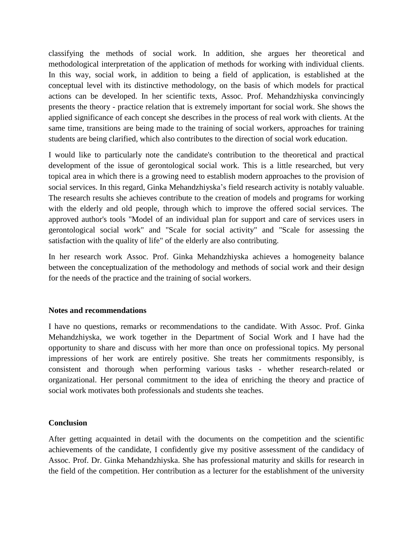classifying the methods of social work. In addition, she argues her theoretical and methodological interpretation of the application of methods for working with individual clients. In this way, social work, in addition to being a field of application, is established at the conceptual level with its distinctive methodology, on the basis of which models for practical actions can be developed. In her scientific texts, Assoc. Prof. Mehandzhiyska convincingly presents the theory - practice relation that is extremely important for social work. She shows the applied significance of each concept she describes in the process of real work with clients. At the same time, transitions are being made to the training of social workers, approaches for training students are being clarified, which also contributes to the direction of social work education.

I would like to particularly note the candidate's contribution to the theoretical and practical development of the issue of gerontological social work. This is a little researched, but very topical area in which there is a growing need to establish modern approaches to the provision of social services. In this regard, Ginka Mehandzhiyska's field research activity is notably valuable. The research results she achieves contribute to the creation of models and programs for working with the elderly and old people, through which to improve the offered social services. The approved author's tools "Model of an individual plan for support and care of services users in gerontological social work" and "Scale for social activity" and "Scale for assessing the satisfaction with the quality of life" of the elderly are also contributing.

In her research work Assoc. Prof. Ginka Mehandzhiyska achieves a homogeneity balance between the conceptualization of the methodology and methods of social work and their design for the needs of the practice and the training of social workers.

#### **Notes and recommendations**

I have no questions, remarks or recommendations to the candidate. With Assoc. Prof. Ginka Mehandzhiyska, we work together in the Department of Social Work and I have had the opportunity to share and discuss with her more than once on professional topics. My personal impressions of her work are entirely positive. She treats her commitments responsibly, is consistent and thorough when performing various tasks - whether research-related or organizational. Her personal commitment to the idea of enriching the theory and practice of social work motivates both professionals and students she teaches.

## **Conclusion**

After getting acquainted in detail with the documents on the competition and the scientific achievements of the candidate, I confidently give my positive assessment of the candidacy of Assoc. Prof. Dr. Ginka Mehandzhiyska. She has professional maturity and skills for research in the field of the competition. Her contribution as a lecturer for the establishment of the university